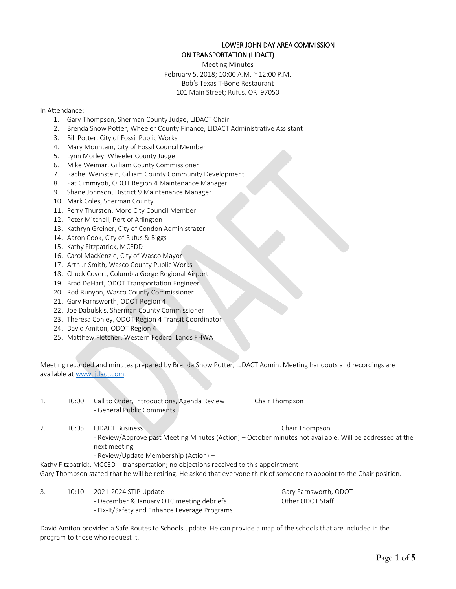### LOWER JOHN DAY AREA COMMISSION ON TRANSPORTATION (LJDACT)

Meeting Minutes February 5, 2018; 10:00 A.M. ~ 12:00 P.M. Bob's Texas T-Bone Restaurant 101 Main Street; Rufus, OR 97050

#### In Attendance:

- 1. Gary Thompson, Sherman County Judge, LJDACT Chair
- 2. Brenda Snow Potter, Wheeler County Finance, LJDACT Administrative Assistant
- 3. Bill Potter, City of Fossil Public Works
- 4. Mary Mountain, City of Fossil Council Member
- 5. Lynn Morley, Wheeler County Judge
- 6. Mike Weimar, Gilliam County Commissioner
- 7. Rachel Weinstein, Gilliam County Community Development
- 8. Pat Cimmiyoti, ODOT Region 4 Maintenance Manager
- 9. Shane Johnson, District 9 Maintenance Manager
- 10. Mark Coles, Sherman County
- 11. Perry Thurston, Moro City Council Member
- 12. Peter Mitchell, Port of Arlington
- 13. Kathryn Greiner, City of Condon Administrator
- 14. Aaron Cook, City of Rufus & Biggs
- 15. Kathy Fitzpatrick, MCEDD
- 16. Carol MacKenzie, City of Wasco Mayor
- 17. Arthur Smith, Wasco County Public Works
- 18. Chuck Covert, Columbia Gorge Regional Airport
- 19. Brad DeHart, ODOT Transportation Engineer
- 20. Rod Runyon, Wasco County Commissioner
- 21. Gary Farnsworth, ODOT Region 4
- 22. Joe Dabulskis, Sherman County Commissioner
- 23. Theresa Conley, ODOT Region 4 Transit Coordinator
- 24. David Amiton, ODOT Region 4
- 25. Matthew Fletcher, Western Federal Lands FHWA

Meeting recorded and minutes prepared by Brenda Snow Potter, LJDACT Admin. Meeting handouts and recordings are available at [www.ljdact.com.](http://www.ljdact.com/)

- 1. 10:00 Call to Order, Introductions, Agenda Review Chair Thompson - General Public Comments
- 2. 10:05 LJDACT Business Chair Thompson - Review/Approve past Meeting Minutes (Action) – October minutes not available. Will be addressed at the next meeting
	- Review/Update Membership (Action) –
- Kathy Fitzpatrick, MCCED transportation; no objections received to this appointment

Gary Thompson stated that he will be retiring. He asked that everyone think of someone to appoint to the Chair position.

- 3. 10:10 2021-2024 STIP Update Gary Farnsworth, ODOT
	- December & January OTC meeting debriefs **CHOCOU ACCOUNTY OT ACCOUNTY CONCILC**
	- Fix-It/Safety and Enhance Leverage Programs

David Amiton provided a Safe Routes to Schools update. He can provide a map of the schools that are included in the program to those who request it.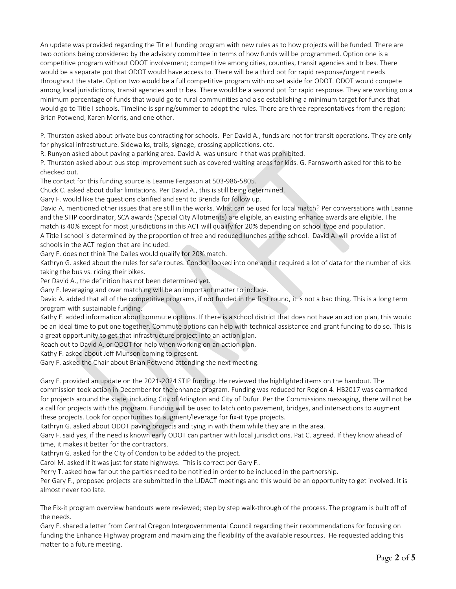An update was provided regarding the Title I funding program with new rules as to how projects will be funded. There are two options being considered by the advisory committee in terms of how funds will be programmed. Option one is a competitive program without ODOT involvement; competitive among cities, counties, transit agencies and tribes. There would be a separate pot that ODOT would have access to. There will be a third pot for rapid response/urgent needs throughout the state. Option two would be a full competitive program with no set aside for ODOT. ODOT would compete among local jurisdictions, transit agencies and tribes. There would be a second pot for rapid response. They are working on a minimum percentage of funds that would go to rural communities and also establishing a minimum target for funds that would go to Title I schools. Timeline is spring/summer to adopt the rules. There are three representatives from the region; Brian Potwend, Karen Morris, and one other.

P. Thurston asked about private bus contracting for schools. Per David A., funds are not for transit operations. They are only for physical infrastructure. Sidewalks, trails, signage, crossing applications, etc.

R. Runyon asked about paving a parking area. David A. was unsure if that was prohibited.

P. Thurston asked about bus stop improvement such as covered waiting areas for kids. G. Farnsworth asked for this to be checked out.

The contact for this funding source is Leanne Fergason at 503-986-5805.

Chuck C. asked about dollar limitations. Per David A., this is still being determined.

Gary F. would like the questions clarified and sent to Brenda for follow up.

David A. mentioned other issues that are still in the works. What can be used for local match? Per conversations with Leanne and the STIP coordinator, SCA awards (Special City Allotments) are eligible, an existing enhance awards are eligible, The match is 40% except for most jurisdictions in this ACT will qualify for 20% depending on school type and population.

A Title I school is determined by the proportion of free and reduced lunches at the school. David A. will provide a list of schools in the ACT region that are included.

Gary F. does not think The Dalles would qualify for 20% match.

Kathryn G. asked about the rules for safe routes. Condon looked into one and it required a lot of data for the number of kids taking the bus vs. riding their bikes.

Per David A., the definition has not been determined yet.

Gary F. leveraging and over matching will be an important matter to include.

David A. added that all of the competitive programs, if not funded in the first round, it is not a bad thing. This is a long term program with sustainable funding.

Kathy F. added information about commute options. If there is a school district that does not have an action plan, this would be an ideal time to put one together. Commute options can help with technical assistance and grant funding to do so. This is a great opportunity to get that infrastructure project into an action plan.

Reach out to David A. or ODOT for help when working on an action plan.

Kathy F. asked about Jeff Munson coming to present.

Gary F. asked the Chair about Brian Potwend attending the next meeting.

Gary F. provided an update on the 2021-2024 STIP funding. He reviewed the highlighted items on the handout. The commission took action in December for the enhance program. Funding was reduced for Region 4. HB2017 was earmarked for projects around the state, including City of Arlington and City of Dufur. Per the Commissions messaging, there will not be a call for projects with this program. Funding will be used to latch onto pavement, bridges, and intersections to augment these projects. Look for opportunities to augment/leverage for fix-it type projects.

Kathryn G. asked about ODOT paving projects and tying in with them while they are in the area.

Gary F. said yes, if the need is known early ODOT can partner with local jurisdictions. Pat C. agreed. If they know ahead of time, it makes it better for the contractors.

Kathryn G. asked for the City of Condon to be added to the project.

Carol M. asked if it was just for state highways. This is correct per Gary F..

Perry T. asked how far out the parties need to be notified in order to be included in the partnership.

Per Gary F., proposed projects are submitted in the LJDACT meetings and this would be an opportunity to get involved. It is almost never too late.

The Fix-it program overview handouts were reviewed; step by step walk-through of the process. The program is built off of the needs.

Gary F. shared a letter from Central Oregon Intergovernmental Council regarding their recommendations for focusing on funding the Enhance Highway program and maximizing the flexibility of the available resources. He requested adding this matter to a future meeting.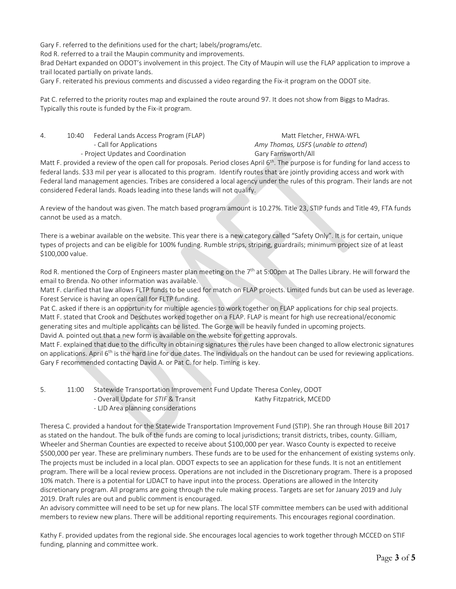Gary F. referred to the definitions used for the chart; labels/programs/etc.

Rod R. referred to a trail the Maupin community and improvements.

Brad DeHart expanded on ODOT's involvement in this project. The City of Maupin will use the FLAP application to improve a trail located partially on private lands.

Gary F. reiterated his previous comments and discussed a video regarding the Fix-it program on the ODOT site.

Pat C. referred to the priority routes map and explained the route around 97. It does not show from Biggs to Madras. Typically this route is funded by the Fix-it program.

4. 10:40 Federal Lands Access Program (FLAP) Matt Fletcher, FHWA-WFL - Call for Applications *Amy Thomas, USFS* (*unable to attend*) - Project Updates and Coordination Gary Farnsworth/All

Matt F. provided a review of the open call for proposals. Period closes April 6<sup>th</sup>. The purpose is for funding for land access to federal lands. \$33 mil per year is allocated to this program. Identify routes that are jointly providing access and work with Federal land management agencies. Tribes are considered a local agency under the rules of this program. Their lands are not considered Federal lands. Roads leading into these lands will not qualify.

A review of the handout was given. The match based program amount is 10.27%. Title 23, STIP funds and Title 49, FTA funds cannot be used as a match.

There is a webinar available on the website. This year there is a new category called "Safety Only". It is for certain, unique types of projects and can be eligible for 100% funding. Rumble strips, striping, guardrails; minimum project size of at least \$100,000 value.

Rod R. mentioned the Corp of Engineers master plan meeting on the 7<sup>th</sup> at 5:00pm at The Dalles Library. He will forward the email to Brenda. No other information was available.

Matt F. clarified that law allows FLTP funds to be used for match on FLAP projects. Limited funds but can be used as leverage. Forest Service is having an open call for FLTP funding.

Pat C. asked if there is an opportunity for multiple agencies to work together on FLAP applications for chip seal projects. Matt F. stated that Crook and Deschutes worked together on a FLAP. FLAP is meant for high use recreational/economic generating sites and multiple applicants can be listed. The Gorge will be heavily funded in upcoming projects.

David A. pointed out that a new form is available on the website for getting approvals.

Matt F. explained that due to the difficulty in obtaining signatures the rules have been changed to allow electronic signatures on applications. April  $6<sup>th</sup>$  is the hard line for due dates. The individuals on the handout can be used for reviewing applications. Gary F recommended contacting David A. or Pat C. for help. Timing is key.

5. 11:00 Statewide Transportation Improvement Fund Update Theresa Conley, ODOT - Overall Update for *STIF* & Transit Kathy Fitzpatrick, MCEDD - LJD Area planning considerations

Theresa C. provided a handout for the Statewide Transportation Improvement Fund (STIP). She ran through House Bill 2017 as stated on the handout. The bulk of the funds are coming to local jurisdictions; transit districts, tribes, county. Gilliam, Wheeler and Sherman Counties are expected to receive about \$100,000 per year. Wasco County is expected to receive \$500,000 per year. These are preliminary numbers. These funds are to be used for the enhancement of existing systems only. The projects must be included in a local plan. ODOT expects to see an application for these funds. It is not an entitlement program. There will be a local review process. Operations are not included in the Discretionary program. There is a proposed 10% match. There is a potential for LJDACT to have input into the process. Operations are allowed in the Intercity discretionary program. All programs are going through the rule making process. Targets are set for January 2019 and July 2019. Draft rules are out and public comment is encouraged.

An advisory committee will need to be set up for new plans. The local STF committee members can be used with additional members to review new plans. There will be additional reporting requirements. This encourages regional coordination.

Kathy F. provided updates from the regional side. She encourages local agencies to work together through MCCED on STIF funding, planning and committee work.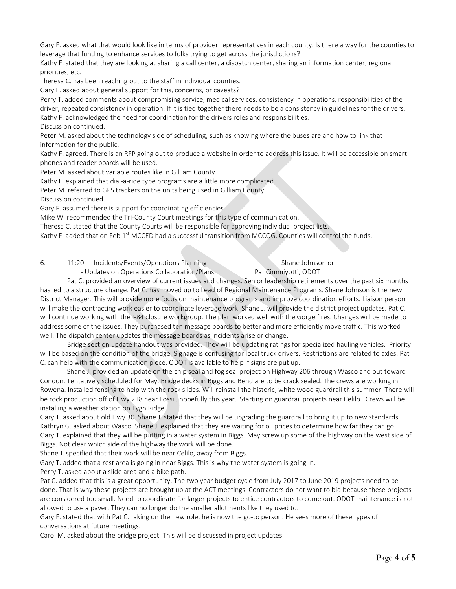Gary F. asked what that would look like in terms of provider representatives in each county. Is there a way for the counties to leverage that funding to enhance services to folks trying to get across the jurisdictions?

Kathy F. stated that they are looking at sharing a call center, a dispatch center, sharing an information center, regional priorities, etc.

Theresa C. has been reaching out to the staff in individual counties.

Gary F. asked about general support for this, concerns, or caveats?

Perry T. added comments about compromising service, medical services, consistency in operations, responsibilities of the driver, repeated consistency in operation. If it is tied together there needs to be a consistency in guidelines for the drivers. Kathy F. acknowledged the need for coordination for the drivers roles and responsibilities. Discussion continued.

Peter M. asked about the technology side of scheduling, such as knowing where the buses are and how to link that information for the public.

Kathy F. agreed. There is an RFP going out to produce a website in order to address this issue. It will be accessible on smart phones and reader boards will be used.

Peter M. asked about variable routes like in Gilliam County.

Kathy F. explained that dial-a-ride type programs are a little more complicated.

Peter M. referred to GPS trackers on the units being used in Gilliam County.

Discussion continued.

Gary F. assumed there is support for coordinating efficiencies.

Mike W. recommended the Tri-County Court meetings for this type of communication.

Theresa C. stated that the County Courts will be responsible for approving individual project lists.

Kathy F. added that on Feb 1<sup>st</sup> MCCED had a successful transition from MCCOG. Counties will control the funds.

6. 11:20 Incidents/Events/Operations Planning Shane Johnson or

- Updates on Operations Collaboration/Plans Pat Cimmiyotti, ODOT

Pat C. provided an overview of current issues and changes. Senior leadership retirements over the past six months

has led to a structure change. Pat C. has moved up to Lead of Regional Maintenance Programs. Shane Johnson is the new District Manager. This will provide more focus on maintenance programs and improve coordination efforts. Liaison person will make the contracting work easier to coordinate leverage work. Shane J. will provide the district project updates. Pat C. will continue working with the I-84 closure workgroup. The plan worked well with the Gorge fires. Changes will be made to address some of the issues. They purchased ten message boards to better and more efficiently move traffic. This worked well. The dispatch center updates the message boards as incidents arise or change.

Bridge section update handout was provided. They will be updating ratings for specialized hauling vehicles. Priority will be based on the condition of the bridge. Signage is confusing for local truck drivers. Restrictions are related to axles. Pat C. can help with the communication piece. ODOT is available to help if signs are put up.

Shane J. provided an update on the chip seal and fog seal project on Highway 206 through Wasco and out toward Condon. Tentatively scheduled for May. Bridge decks in Biggs and Bend are to be crack sealed. The crews are working in Rowena. Installed fencing to help with the rock slides. Will reinstall the historic, white wood guardrail this summer. There will be rock production off of Hwy 218 near Fossil, hopefully this year. Starting on guardrail projects near Celilo. Crews will be installing a weather station on Tygh Ridge.

Gary T. asked about old Hwy 30. Shane J. stated that they will be upgrading the guardrail to bring it up to new standards. Kathryn G. asked about Wasco. Shane J. explained that they are waiting for oil prices to determine how far they can go. Gary T. explained that they will be putting in a water system in Biggs. May screw up some of the highway on the west side of Biggs. Not clear which side of the highway the work will be done.

Shane J. specified that their work will be near Celilo, away from Biggs.

Gary T. added that a rest area is going in near Biggs. This is why the water system is going in.

Perry T. asked about a slide area and a bike path.

Pat C. added that this is a great opportunity. The two year budget cycle from July 2017 to June 2019 projects need to be done. That is why these projects are brought up at the ACT meetings. Contractors do not want to bid because these projects are considered too small. Need to coordinate for larger projects to entice contractors to come out. ODOT maintenance is not allowed to use a paver. They can no longer do the smaller allotments like they used to.

Gary F. stated that with Pat C. taking on the new role, he is now the go-to person. He sees more of these types of conversations at future meetings.

Carol M. asked about the bridge project. This will be discussed in project updates.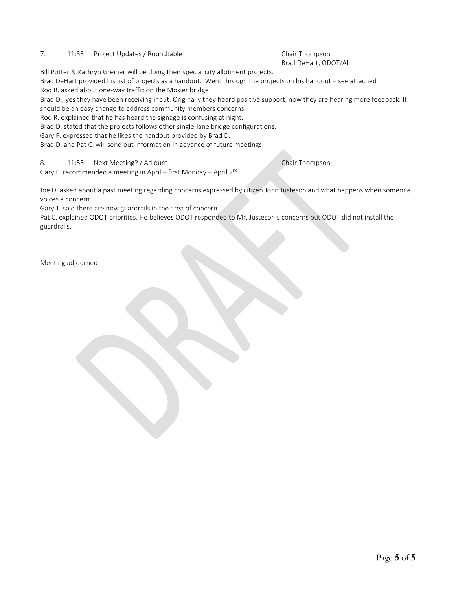## 7. 11:35 Project Updates / Roundtable Chair Thompson

# Brad DeHart, ODOT/All

Bill Potter & Kathryn Greiner will be doing their special city allotment projects.

Brad DeHart provided his list of projects as a handout. Went through the projects on his handout – see attached Rod R. asked about one-way traffic on the Mosier bridge

Brad D., yes they have been receiving input. Originally they heard positive support, now they are hearing more feedback. It should be an easy change to address community members concerns.

Rod R. explained that he has heard the signage is confusing at night.

Brad D. stated that the projects follows other single-lane bridge configurations.

Gary F. expressed that he likes the handout provided by Brad D.

Brad D. and Pat C. will send out information in advance of future meetings.

#### 8. 11:55 Next Meeting? / Adjourn Chair Thompson

Gary F. recommended a meeting in April – first Monday – April 2nd

Joe D. asked about a past meeting regarding concerns expressed by citizen John Justeson and what happens when someone voices a concern.

Gary T. said there are now guardrails in the area of concern.

Pat C. explained ODOT priorities. He believes ODOT responded to Mr. Justeson's concerns but ODOT did not install the guardrails.

Meeting adjourned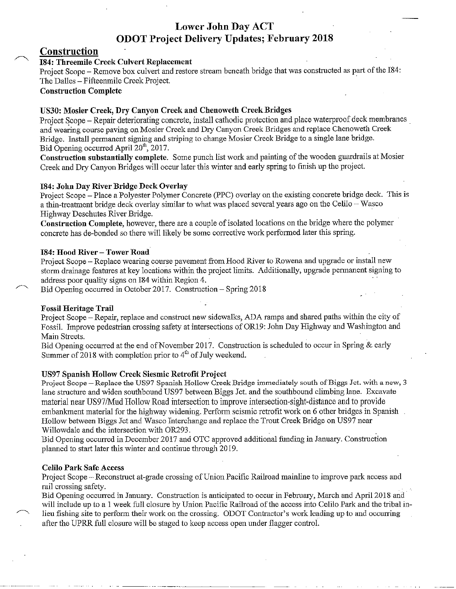# **Lower John Day ACT ODOT Project Delivery Updates; February 2018**

# Construction

# 184: Threemile Creek Culvert Replacement

Project Scope – Remove box culvert and restore stream beneath bridge that was constructed as part of the I84: The Dalles - Fifteenmile Creek Project.

# **Construction Complete**

# US30: Mosier Creek, Dry Canyon Creek and Chenoweth Creek Bridges

Project Scope – Repair deteriorating concrete, install cathodic protection and place waterproof deck membranes and wearing course paying on Mosier Creek and Dry Canyon Creek Bridges and replace Chenoweth Creek Bridge. Install permanent signing and striping to change Mosier Creek Bridge to a single lane bridge. Bid Opening occurred April 20<sup>th</sup>, 2017.

Construction substantially complete. Some punch list work and painting of the wooden guardrails at Mosier Creek and Dry Canyon Bridges will occur later this winter and early spring to finish up the project.

# 184: John Day River Bridge Deck Overlay

Project Scope – Place a Polyester Polymer Concrete (PPC) overlay on the existing concrete bridge deck. This is a thin-treatment bridge deck overlay similar to what was placed several years ago on the Celilo - Wasco Highway Deschutes River Bridge.

Construction Complete, however, there are a couple of isolated locations on the bridge where the polymer concrete has de-bonded so there will likely be some corrective work performed later this spring.

## 184: Hood River - Tower Road

Project Scope - Replace wearing course pavement from Hood River to Rowena and upgrade or install new storm drainage features at key locations within the project limits. Additionally, upgrade permanent signing to address poor quality signs on I84 within Region 4.

Bid Opening occurred in October 2017. Construction – Spring 2018

# **Fossil Heritage Trail**

Project Scope – Repair, replace and construct new sidewalks, ADA ramps and shared paths within the city of Fossil. Improve pedestrian crossing safety at intersections of OR19: John Day Highway and Washington and Main Streets.

Bid Opening occurred at the end of November 2017. Construction is scheduled to occur in Spring & early Summer of 2018 with completion prior to 4<sup>th</sup> of July weekend.

# US97 Spanish Hollow Creek Siesmic Retrofit Project

Project Scope – Replace the US97 Spanish Hollow Creek Bridge immediately south of Biggs Jct. with a new, 3 lane structure and widen southbound US97 between Biggs Jct. and the southbound climbing lane. Excavate material near US97/Mud Hollow Road intersection to improve intersection-sight-distance and to provide embankment material for the highway widening. Perform seismic retrofit work on 6 other bridges in Spanish Hollow between Biggs Jct and Wasco Interchange and replace the Trout Creek Bridge on US97 near Willowdale and the intersection with OR293.

Bid Opening occurred in December 2017 and OTC approved additional funding in January. Construction planned to start later this winter and continue through 2019.

## **Celilo Park Safe Access**

Project Scope – Reconstruct at-grade crossing of Union Pacific Railroad mainline to improve park access and rail crossing safety.

Bid Opening occurred in January. Construction is anticipated to occur in February, March and April 2018 and will include up to a 1 week full closure by Union Pacific Railroad of the access into Celilo Park and the tribal inlieu fishing site to perform their work on the crossing. ODOT Contractor's work leading up to and occurring after the UPRR full closure will be staged to keep access open under flagger control.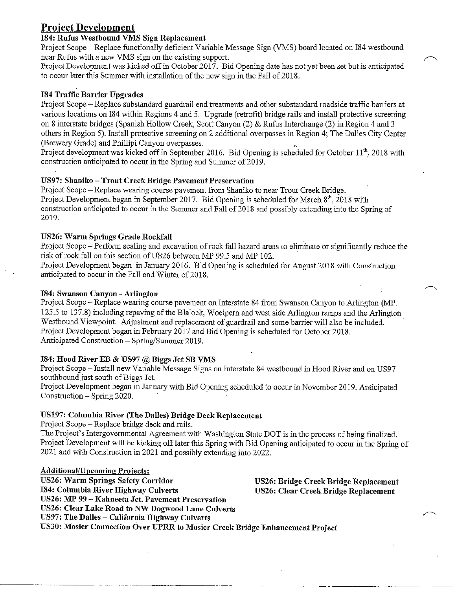# **Project Development**

# 184: Rufus Westbound VMS Sign Replacement

Project Scope – Replace functionally deficient Variable Message Sign (VMS) board located on I84 westbound near Rufus with a new VMS sign on the existing support.

Project Development was kicked off in October 2017. Bid Opening date has not yet been set but is anticipated to occur later this Summer with installation of the new sign in the Fall of 2018.

# **184 Traffic Barrier Upgrades**

Project Scope – Replace substandard guardrail end treatments and other substandard roadside traffic barriers at various locations on I84 within Regions 4 and 5. Upgrade (retrofit) bridge rails and install protective screening on 8 interstate bridges (Spanish Hollow Creek, Scott Canyon (2) & Rufus Interchange (2) in Region 4 and 3 others in Region 5). Install protective screening on 2 additional overpasses in Region 4; The Dalles City Center (Brewery Grade) and Phillipi Canyon overpasses.

Project development was kicked off in September 2016. Bid Opening is scheduled for October 11<sup>th</sup>, 2018 with construction anticipated to occur in the Spring and Summer of 2019.

# US97: Shaniko - Trout Creek Bridge Pavement Preservation

Project Scope – Replace wearing course pavement from Shaniko to near Trout Creek Bridge. Project Development began in September 2017. Bid Opening is scheduled for March  $8<sup>th</sup>$ , 2018 with construction anticipated to occur in the Summer and Fall of 2018 and possibly extending into the Spring of 2019.

# US26: Warm Springs Grade Rockfall

Project Scope – Perform scaling and excavation of rock fall hazard areas to eliminate or significantly reduce the risk of rock fall on this section of US26 between MP 99.5 and MP 102.

Project Development began in January 2016. Bid Opening is scheduled for August 2018 with Construction anticipated to occur in the Fall and Winter of 2018.

# 184: Swanson Canyon - Arlington

Project Scope – Replace wearing course pavement on Interstate 84 from Swanson Canyon to Arlington (MP. 125.5 to 137.8) including repaving of the Blalock, Woelpern and west side Arlington ramps and the Arlington Westbound Viewpoint. Adjustment and replacement of guardrail and some barrier will also be included. Project Development began in February 2017 and Bid Opening is scheduled for October 2018. Anticipated Construction - Spring/Summer 2019.

# 184: Hood River EB & US97 @ Biggs Jct SB VMS

Project Scope - Install new Variable Message Signs on Interstate 84 westbound in Hood River and on US97 southbound just south of Biggs Jct.

Project Development began in January with Bid Opening scheduled to occur in November 2019. Anticipated Construction – Spring 2020.

# US197: Columbia River (The Dalles) Bridge Deck Replacement

Project Scope – Replace bridge deck and rails.

The Project's Intergovernmental Agreement with Washington State DOT is in the process of being finalized. Project Development will be kicking off later this Spring with Bid Opening anticipated to occur in the Spring of 2021 and with Construction in 2021 and possibly extending into 2022.

# **Additional/Upcoming Projects:**

**US26: Warm Springs Safety Corridor** 184: Columbia River Highway Culverts US26: MP 99 - Kahneeta Jct. Pavement Preservation US26: Clear Lake Road to NW Dogwood Lane Culverts US97: The Dalles - California Highway Culverts

# US26: Bridge Creek Bridge Replacement **US26: Clear Creek Bridge Replacement**

US30: Mosier Connection Over UPRR to Mosier Creek Bridge Enhancement Project